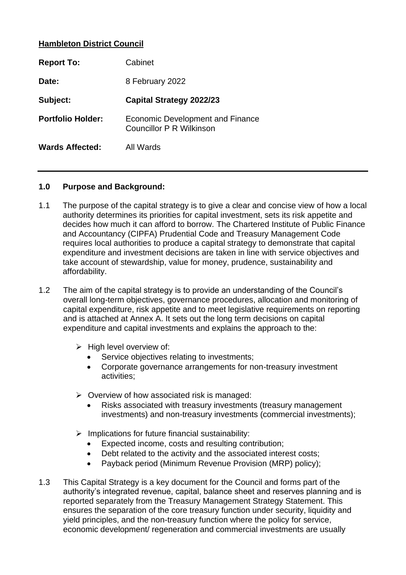## **Hambleton District Council**

| <b>Report To:</b>        | Cabinet                                                      |
|--------------------------|--------------------------------------------------------------|
| Date:                    | 8 February 2022                                              |
| Subject:                 | <b>Capital Strategy 2022/23</b>                              |
| <b>Portfolio Holder:</b> | Economic Development and Finance<br>Councillor P R Wilkinson |
| <b>Wards Affected:</b>   | All Wards                                                    |

#### **1.0 Purpose and Background:**

- 1.1 The purpose of the capital strategy is to give a clear and concise view of how a local authority determines its priorities for capital investment, sets its risk appetite and decides how much it can afford to borrow. The Chartered Institute of Public Finance and Accountancy (CIPFA) Prudential Code and Treasury Management Code requires local authorities to produce a capital strategy to demonstrate that capital expenditure and investment decisions are taken in line with service objectives and take account of stewardship, value for money, prudence, sustainability and affordability.
- 1.2 The aim of the capital strategy is to provide an understanding of the Council's overall long-term objectives, governance procedures, allocation and monitoring of capital expenditure, risk appetite and to meet legislative requirements on reporting and is attached at Annex A. It sets out the long term decisions on capital expenditure and capital investments and explains the approach to the:
	- ➢ High level overview of:
		- Service objectives relating to investments;
		- Corporate governance arrangements for non-treasury investment activities;
	- $\triangleright$  Overview of how associated risk is managed:
		- Risks associated with treasury investments (treasury management investments) and non-treasury investments (commercial investments);
	- $\triangleright$  Implications for future financial sustainability:
		- Expected income, costs and resulting contribution;
		- Debt related to the activity and the associated interest costs;
		- Payback period (Minimum Revenue Provision (MRP) policy);
- 1.3 This Capital Strategy is a key document for the Council and forms part of the authority's integrated revenue, capital, balance sheet and reserves planning and is reported separately from the Treasury Management Strategy Statement. This ensures the separation of the core treasury function under security, liquidity and yield principles, and the non-treasury function where the policy for service, economic development/ regeneration and commercial investments are usually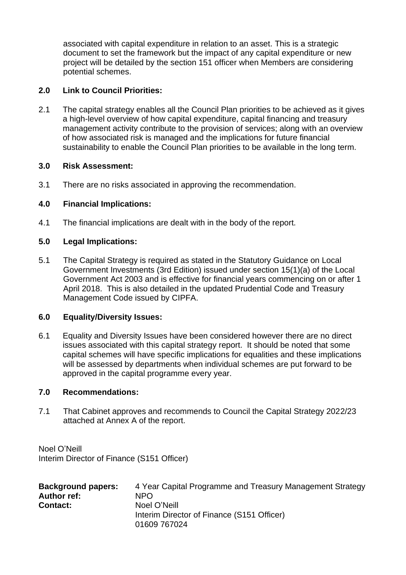associated with capital expenditure in relation to an asset. This is a strategic document to set the framework but the impact of any capital expenditure or new project will be detailed by the section 151 officer when Members are considering potential schemes.

## **2.0 Link to Council Priorities:**

2.1 The capital strategy enables all the Council Plan priorities to be achieved as it gives a high-level overview of how capital expenditure, capital financing and treasury management activity contribute to the provision of services; along with an overview of how associated risk is managed and the implications for future financial sustainability to enable the Council Plan priorities to be available in the long term.

#### **3.0 Risk Assessment:**

3.1 There are no risks associated in approving the recommendation.

## **4.0 Financial Implications:**

4.1 The financial implications are dealt with in the body of the report.

## **5.0 Legal Implications:**

5.1 The Capital Strategy is required as stated in the Statutory Guidance on Local Government Investments (3rd Edition) issued under section 15(1)(a) of the Local Government Act 2003 and is effective for financial years commencing on or after 1 April 2018. This is also detailed in the updated Prudential Code and Treasury Management Code issued by CIPFA.

#### **6.0 Equality/Diversity Issues:**

6.1 Equality and Diversity Issues have been considered however there are no direct issues associated with this capital strategy report. It should be noted that some capital schemes will have specific implications for equalities and these implications will be assessed by departments when individual schemes are put forward to be approved in the capital programme every year.

#### **7.0 Recommendations:**

7.1 That Cabinet approves and recommends to Council the Capital Strategy 2022/23 attached at Annex A of the report.

Noel O'Neill Interim Director of Finance (S151 Officer)

| <b>Background papers:</b> | 4 Year Capital Programme and Treasury Management Strategy |
|---------------------------|-----------------------------------------------------------|
| <b>Author ref:</b>        | NPO.                                                      |
| <b>Contact:</b>           | Noel O'Neill                                              |
|                           | Interim Director of Finance (S151 Officer)                |
|                           | 01609 767024                                              |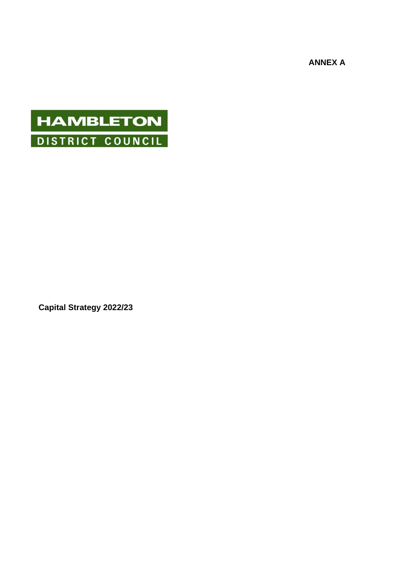**ANNEX A**

# **HAMBLETON** DISTRICT COUNCIL

**Capital Strategy 2022/23**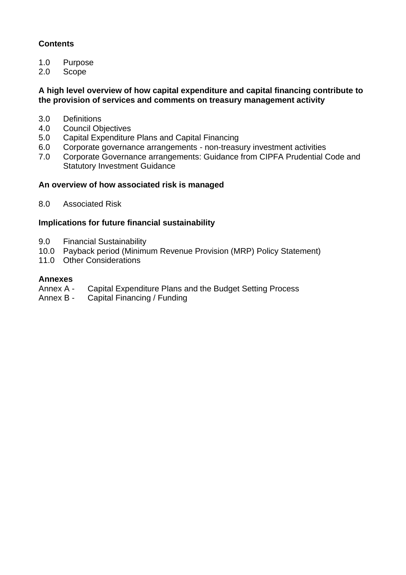# **Contents**

- 1.0 Purpose
- 2.0 Scope

#### **A high level overview of how capital expenditure and capital financing contribute to the provision of services and comments on treasury management activity**

- 3.0 Definitions
- 4.0 Council Objectives
- 5.0 Capital Expenditure Plans and Capital Financing
- 6.0 Corporate governance arrangements non-treasury investment activities
- 7.0 Corporate Governance arrangements: Guidance from CIPFA Prudential Code and Statutory Investment Guidance

#### **An overview of how associated risk is managed**

8.0 Associated Risk

## **Implications for future financial sustainability**

- 9.0 Financial Sustainability
- 10.0 Payback period (Minimum Revenue Provision (MRP) Policy Statement)
- 11.0 Other Considerations

#### **Annexes**

- Annex A Capital Expenditure Plans and the Budget Setting Process
- Annex B Capital Financing / Funding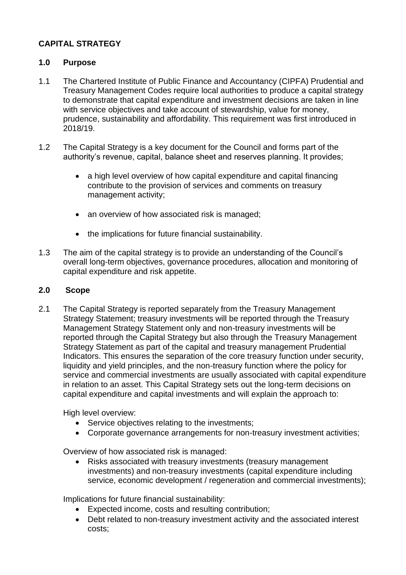# **CAPITAL STRATEGY**

## **1.0 Purpose**

- 1.1 The Chartered Institute of Public Finance and Accountancy (CIPFA) Prudential and Treasury Management Codes require local authorities to produce a capital strategy to demonstrate that capital expenditure and investment decisions are taken in line with service objectives and take account of stewardship, value for money, prudence, sustainability and affordability. This requirement was first introduced in 2018/19.
- 1.2 The Capital Strategy is a key document for the Council and forms part of the authority's revenue, capital, balance sheet and reserves planning. It provides;
	- a high level overview of how capital expenditure and capital financing contribute to the provision of services and comments on treasury management activity;
	- an overview of how associated risk is managed;
	- the implications for future financial sustainability.
- 1.3 The aim of the capital strategy is to provide an understanding of the Council's overall long-term objectives, governance procedures, allocation and monitoring of capital expenditure and risk appetite.

#### **2.0 Scope**

2.1 The Capital Strategy is reported separately from the Treasury Management Strategy Statement; treasury investments will be reported through the Treasury Management Strategy Statement only and non-treasury investments will be reported through the Capital Strategy but also through the Treasury Management Strategy Statement as part of the capital and treasury management Prudential Indicators. This ensures the separation of the core treasury function under security, liquidity and yield principles, and the non-treasury function where the policy for service and commercial investments are usually associated with capital expenditure in relation to an asset. This Capital Strategy sets out the long-term decisions on capital expenditure and capital investments and will explain the approach to:

High level overview:

- Service objectives relating to the investments:
- Corporate governance arrangements for non-treasury investment activities;

Overview of how associated risk is managed:

• Risks associated with treasury investments (treasury management investments) and non-treasury investments (capital expenditure including service, economic development / regeneration and commercial investments);

Implications for future financial sustainability:

- Expected income, costs and resulting contribution;
- Debt related to non-treasury investment activity and the associated interest costs;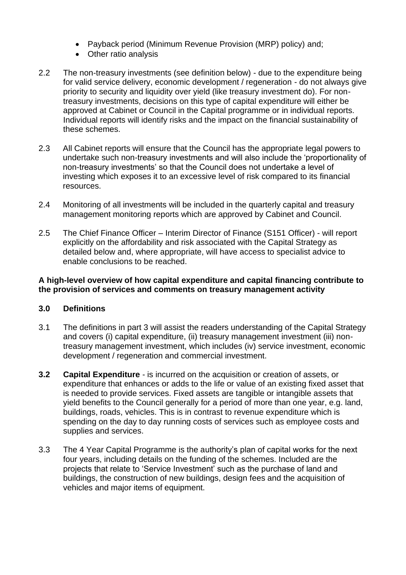- Payback period (Minimum Revenue Provision (MRP) policy) and;
- Other ratio analysis
- 2.2 The non-treasury investments (see definition below) due to the expenditure being for valid service delivery, economic development / regeneration - do not always give priority to security and liquidity over yield (like treasury investment do). For nontreasury investments, decisions on this type of capital expenditure will either be approved at Cabinet or Council in the Capital programme or in individual reports. Individual reports will identify risks and the impact on the financial sustainability of these schemes.
- 2.3 All Cabinet reports will ensure that the Council has the appropriate legal powers to undertake such non-treasury investments and will also include the 'proportionality of non-treasury investments' so that the Council does not undertake a level of investing which exposes it to an excessive level of risk compared to its financial resources.
- 2.4 Monitoring of all investments will be included in the quarterly capital and treasury management monitoring reports which are approved by Cabinet and Council.
- 2.5 The Chief Finance Officer Interim Director of Finance (S151 Officer) will report explicitly on the affordability and risk associated with the Capital Strategy as detailed below and, where appropriate, will have access to specialist advice to enable conclusions to be reached.

#### **A high-level overview of how capital expenditure and capital financing contribute to the provision of services and comments on treasury management activity**

# **3.0 Definitions**

- 3.1 The definitions in part 3 will assist the readers understanding of the Capital Strategy and covers (i) capital expenditure, (ii) treasury management investment (iii) nontreasury management investment, which includes (iv) service investment, economic development / regeneration and commercial investment.
- **3.2 Capital Expenditure** is incurred on the acquisition or creation of assets, or expenditure that enhances or adds to the life or value of an existing fixed asset that is needed to provide services. Fixed assets are tangible or intangible assets that yield benefits to the Council generally for a period of more than one year, e.g. land, buildings, roads, vehicles. This is in contrast to revenue expenditure which is spending on the day to day running costs of services such as employee costs and supplies and services.
- 3.3 The 4 Year Capital Programme is the authority's plan of capital works for the next four years, including details on the funding of the schemes. Included are the projects that relate to 'Service Investment' such as the purchase of land and buildings, the construction of new buildings, design fees and the acquisition of vehicles and major items of equipment.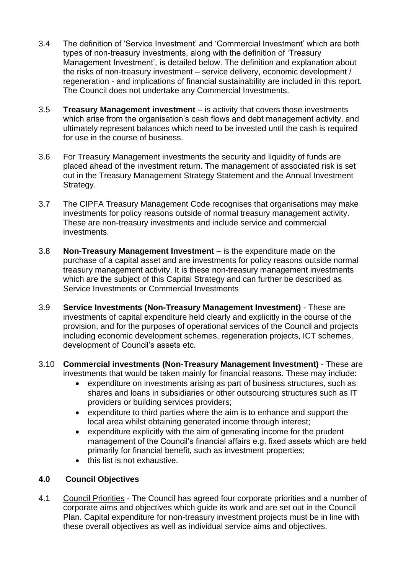- 3.4 The definition of 'Service Investment' and 'Commercial Investment' which are both types of non-treasury investments, along with the definition of 'Treasury Management Investment', is detailed below. The definition and explanation about the risks of non-treasury investment – service delivery, economic development / regeneration - and implications of financial sustainability are included in this report. The Council does not undertake any Commercial Investments.
- 3.5 **Treasury Management investment** is activity that covers those investments which arise from the organisation's cash flows and debt management activity, and ultimately represent balances which need to be invested until the cash is required for use in the course of business.
- 3.6 For Treasury Management investments the security and liquidity of funds are placed ahead of the investment return. The management of associated risk is set out in the Treasury Management Strategy Statement and the Annual Investment Strategy.
- 3.7 The CIPFA Treasury Management Code recognises that organisations may make investments for policy reasons outside of normal treasury management activity. These are non-treasury investments and include service and commercial investments.
- 3.8 **Non-Treasury Management Investment** is the expenditure made on the purchase of a capital asset and are investments for policy reasons outside normal treasury management activity. It is these non-treasury management investments which are the subject of this Capital Strategy and can further be described as Service Investments or Commercial Investments
- 3.9 **Service Investments (Non-Treasury Management Investment)** These are investments of capital expenditure held clearly and explicitly in the course of the provision, and for the purposes of operational services of the Council and projects including economic development schemes, regeneration projects, ICT schemes, development of Council's assets etc.
- 3.10 **Commercial investments (Non-Treasury Management Investment)** These are investments that would be taken mainly for financial reasons. These may include:
	- expenditure on investments arising as part of business structures, such as shares and loans in subsidiaries or other outsourcing structures such as IT providers or building services providers;
	- expenditure to third parties where the aim is to enhance and support the local area whilst obtaining generated income through interest;
	- expenditure explicitly with the aim of generating income for the prudent management of the Council's financial affairs e.g. fixed assets which are held primarily for financial benefit, such as investment properties;
	- this list is not exhaustive.

# **4.0 Council Objectives**

4.1 Council Priorities - The Council has agreed four corporate priorities and a number of corporate aims and objectives which guide its work and are set out in the Council Plan. Capital expenditure for non-treasury investment projects must be in line with these overall objectives as well as individual service aims and objectives.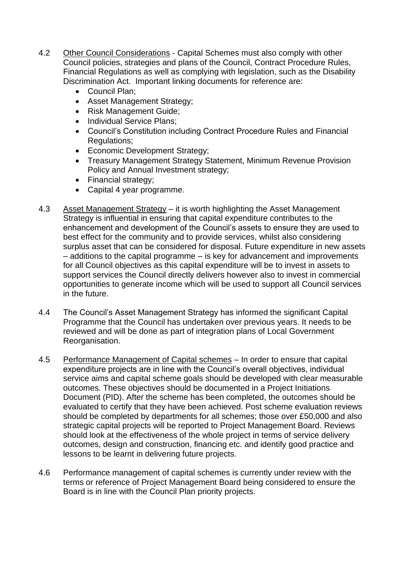- 4.2 Other Council Considerations Capital Schemes must also comply with other Council policies, strategies and plans of the Council, Contract Procedure Rules, Financial Regulations as well as complying with legislation, such as the Disability Discrimination Act. Important linking documents for reference are:
	- Council Plan;
	- Asset Management Strategy;
	- Risk Management Guide;
	- Individual Service Plans;
	- Council's Constitution including Contract Procedure Rules and Financial Regulations;
	- Economic Development Strategy;
	- Treasury Management Strategy Statement, Minimum Revenue Provision Policy and Annual Investment strategy;
	- Financial strategy;
	- Capital 4 year programme.
- 4.3 Asset Management Strategy it is worth highlighting the Asset Management Strategy is influential in ensuring that capital expenditure contributes to the enhancement and development of the Council's assets to ensure they are used to best effect for the community and to provide services, whilst also considering surplus asset that can be considered for disposal. Future expenditure in new assets – additions to the capital programme – is key for advancement and improvements for all Council objectives as this capital expenditure will be to invest in assets to support services the Council directly delivers however also to invest in commercial opportunities to generate income which will be used to support all Council services in the future.
- 4.4 The Council's Asset Management Strategy has informed the significant Capital Programme that the Council has undertaken over previous years. It needs to be reviewed and will be done as part of integration plans of Local Government Reorganisation.
- 4.5 Performance Management of Capital schemes In order to ensure that capital expenditure projects are in line with the Council's overall objectives, individual service aims and capital scheme goals should be developed with clear measurable outcomes. These objectives should be documented in a Project Initiations Document (PID). After the scheme has been completed, the outcomes should be evaluated to certify that they have been achieved. Post scheme evaluation reviews should be completed by departments for all schemes; those over £50,000 and also strategic capital projects will be reported to Project Management Board. Reviews should look at the effectiveness of the whole project in terms of service delivery outcomes, design and construction, financing etc. and identify good practice and lessons to be learnt in delivering future projects.
- 4.6 Performance management of capital schemes is currently under review with the terms or reference of Project Management Board being considered to ensure the Board is in line with the Council Plan priority projects.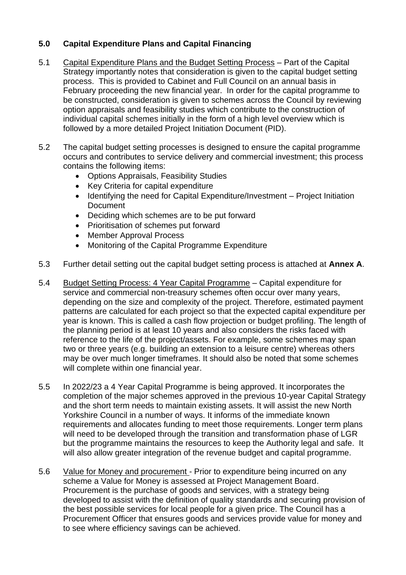# **5.0 Capital Expenditure Plans and Capital Financing**

- 5.1 Capital Expenditure Plans and the Budget Setting Process Part of the Capital Strategy importantly notes that consideration is given to the capital budget setting process. This is provided to Cabinet and Full Council on an annual basis in February proceeding the new financial year. In order for the capital programme to be constructed, consideration is given to schemes across the Council by reviewing option appraisals and feasibility studies which contribute to the construction of individual capital schemes initially in the form of a high level overview which is followed by a more detailed Project Initiation Document (PID).
- 5.2 The capital budget setting processes is designed to ensure the capital programme occurs and contributes to service delivery and commercial investment; this process contains the following items:
	- Options Appraisals, Feasibility Studies
	- Key Criteria for capital expenditure
	- Identifying the need for Capital Expenditure/Investment Project Initiation **Document**
	- Deciding which schemes are to be put forward
	- Prioritisation of schemes put forward
	- Member Approval Process
	- Monitoring of the Capital Programme Expenditure
- 5.3 Further detail setting out the capital budget setting process is attached at **Annex A**.
- 5.4 Budget Setting Process: 4 Year Capital Programme Capital expenditure for service and commercial non-treasury schemes often occur over many years, depending on the size and complexity of the project. Therefore, estimated payment patterns are calculated for each project so that the expected capital expenditure per year is known. This is called a cash flow projection or budget profiling. The length of the planning period is at least 10 years and also considers the risks faced with reference to the life of the project/assets. For example, some schemes may span two or three years (e.g. building an extension to a leisure centre) whereas others may be over much longer timeframes. It should also be noted that some schemes will complete within one financial year.
- 5.5 In 2022/23 a 4 Year Capital Programme is being approved. It incorporates the completion of the major schemes approved in the previous 10-year Capital Strategy and the short term needs to maintain existing assets. It will assist the new North Yorkshire Council in a number of ways. It informs of the immediate known requirements and allocates funding to meet those requirements. Longer term plans will need to be developed through the transition and transformation phase of LGR but the programme maintains the resources to keep the Authority legal and safe. It will also allow greater integration of the revenue budget and capital programme.
- 5.6 Value for Money and procurement Prior to expenditure being incurred on any scheme a Value for Money is assessed at Project Management Board. Procurement is the purchase of goods and services, with a strategy being developed to assist with the definition of quality standards and securing provision of the best possible services for local people for a given price. The Council has a Procurement Officer that ensures goods and services provide value for money and to see where efficiency savings can be achieved.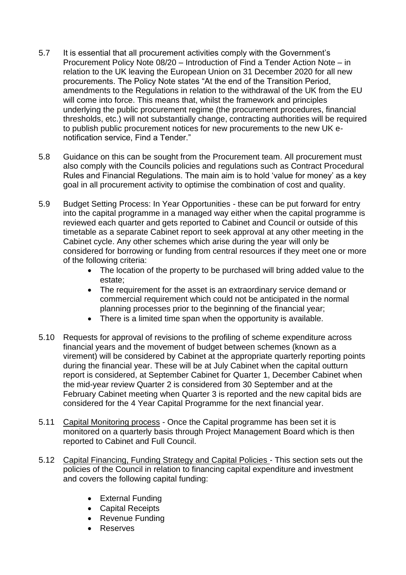- 5.7 It is essential that all procurement activities comply with the Government's Procurement Policy Note 08/20 – Introduction of Find a Tender Action Note – in relation to the UK leaving the European Union on 31 December 2020 for all new procurements. The Policy Note states "At the end of the Transition Period, amendments to the Regulations in relation to the withdrawal of the UK from the EU will come into force. This means that, whilst the framework and principles underlying the public procurement regime (the procurement procedures, financial thresholds, etc.) will not substantially change, contracting authorities will be required to publish public procurement notices for new procurements to the new UK enotification service, Find a Tender."
- 5.8 Guidance on this can be sought from the Procurement team. All procurement must also comply with the Councils policies and regulations such as Contract Procedural Rules and Financial Regulations. The main aim is to hold 'value for money' as a key goal in all procurement activity to optimise the combination of cost and quality.
- 5.9 Budget Setting Process: In Year Opportunities these can be put forward for entry into the capital programme in a managed way either when the capital programme is reviewed each quarter and gets reported to Cabinet and Council or outside of this timetable as a separate Cabinet report to seek approval at any other meeting in the Cabinet cycle. Any other schemes which arise during the year will only be considered for borrowing or funding from central resources if they meet one or more of the following criteria:
	- The location of the property to be purchased will bring added value to the estate;
	- The requirement for the asset is an extraordinary service demand or commercial requirement which could not be anticipated in the normal planning processes prior to the beginning of the financial year;
	- There is a limited time span when the opportunity is available.
- 5.10 Requests for approval of revisions to the profiling of scheme expenditure across financial years and the movement of budget between schemes (known as a virement) will be considered by Cabinet at the appropriate quarterly reporting points during the financial year. These will be at July Cabinet when the capital outturn report is considered, at September Cabinet for Quarter 1, December Cabinet when the mid-year review Quarter 2 is considered from 30 September and at the February Cabinet meeting when Quarter 3 is reported and the new capital bids are considered for the 4 Year Capital Programme for the next financial year.
- 5.11 Capital Monitoring process Once the Capital programme has been set it is monitored on a quarterly basis through Project Management Board which is then reported to Cabinet and Full Council.
- 5.12 Capital Financing, Funding Strategy and Capital Policies This section sets out the policies of the Council in relation to financing capital expenditure and investment and covers the following capital funding:
	- External Funding
	- Capital Receipts
	- Revenue Funding
	- Reserves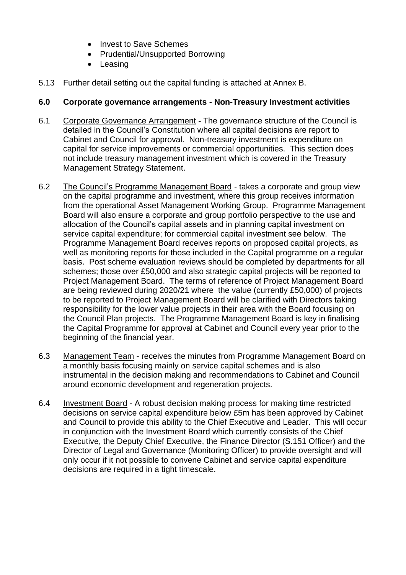- Invest to Save Schemes
- Prudential/Unsupported Borrowing
- Leasing
- 5.13 Further detail setting out the capital funding is attached at Annex B.

#### **6.0 Corporate governance arrangements - Non-Treasury Investment activities**

- 6.1 Corporate Governance Arrangement **-** The governance structure of the Council is detailed in the Council's Constitution where all capital decisions are report to Cabinet and Council for approval. Non-treasury investment is expenditure on capital for service improvements or commercial opportunities. This section does not include treasury management investment which is covered in the Treasury Management Strategy Statement.
- 6.2 The Council's Programme Management Board takes a corporate and group view on the capital programme and investment, where this group receives information from the operational Asset Management Working Group. Programme Management Board will also ensure a corporate and group portfolio perspective to the use and allocation of the Council's capital assets and in planning capital investment on service capital expenditure; for commercial capital investment see below. The Programme Management Board receives reports on proposed capital projects, as well as monitoring reports for those included in the Capital programme on a regular basis. Post scheme evaluation reviews should be completed by departments for all schemes; those over £50,000 and also strategic capital projects will be reported to Project Management Board. The terms of reference of Project Management Board are being reviewed during 2020/21 where the value (currently £50,000) of projects to be reported to Project Management Board will be clarified with Directors taking responsibility for the lower value projects in their area with the Board focusing on the Council Plan projects. The Programme Management Board is key in finalising the Capital Programme for approval at Cabinet and Council every year prior to the beginning of the financial year.
- 6.3 Management Team receives the minutes from Programme Management Board on a monthly basis focusing mainly on service capital schemes and is also instrumental in the decision making and recommendations to Cabinet and Council around economic development and regeneration projects.
- 6.4 Investment Board A robust decision making process for making time restricted decisions on service capital expenditure below £5m has been approved by Cabinet and Council to provide this ability to the Chief Executive and Leader. This will occur in conjunction with the Investment Board which currently consists of the Chief Executive, the Deputy Chief Executive, the Finance Director (S.151 Officer) and the Director of Legal and Governance (Monitoring Officer) to provide oversight and will only occur if it not possible to convene Cabinet and service capital expenditure decisions are required in a tight timescale.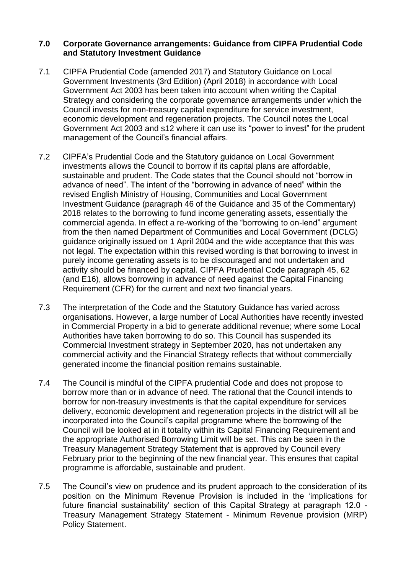#### **7.0 Corporate Governance arrangements: Guidance from CIPFA Prudential Code and Statutory Investment Guidance**

- 7.1 CIPFA Prudential Code (amended 2017) and Statutory Guidance on Local Government Investments (3rd Edition) (April 2018) in accordance with Local Government Act 2003 has been taken into account when writing the Capital Strategy and considering the corporate governance arrangements under which the Council invests for non-treasury capital expenditure for service investment, economic development and regeneration projects. The Council notes the Local Government Act 2003 and s12 where it can use its "power to invest" for the prudent management of the Council's financial affairs.
- 7.2 CIPFA's Prudential Code and the Statutory guidance on Local Government investments allows the Council to borrow if its capital plans are affordable, sustainable and prudent. The Code states that the Council should not "borrow in advance of need". The intent of the "borrowing in advance of need" within the revised English Ministry of Housing, Communities and Local Government Investment Guidance (paragraph 46 of the Guidance and 35 of the Commentary) 2018 relates to the borrowing to fund income generating assets, essentially the commercial agenda. In effect a re-working of the "borrowing to on-lend" argument from the then named Department of Communities and Local Government (DCLG) guidance originally issued on 1 April 2004 and the wide acceptance that this was not legal. The expectation within this revised wording is that borrowing to invest in purely income generating assets is to be discouraged and not undertaken and activity should be financed by capital. CIPFA Prudential Code paragraph 45, 62 (and E16), allows borrowing in advance of need against the Capital Financing Requirement (CFR) for the current and next two financial years.
- 7.3 The interpretation of the Code and the Statutory Guidance has varied across organisations. However, a large number of Local Authorities have recently invested in Commercial Property in a bid to generate additional revenue; where some Local Authorities have taken borrowing to do so. This Council has suspended its Commercial Investment strategy in September 2020, has not undertaken any commercial activity and the Financial Strategy reflects that without commercially generated income the financial position remains sustainable.
- 7.4 The Council is mindful of the CIPFA prudential Code and does not propose to borrow more than or in advance of need. The rational that the Council intends to borrow for non-treasury investments is that the capital expenditure for services delivery, economic development and regeneration projects in the district will all be incorporated into the Council's capital programme where the borrowing of the Council will be looked at in it totality within its Capital Financing Requirement and the appropriate Authorised Borrowing Limit will be set. This can be seen in the Treasury Management Strategy Statement that is approved by Council every February prior to the beginning of the new financial year. This ensures that capital programme is affordable, sustainable and prudent.
- 7.5 The Council's view on prudence and its prudent approach to the consideration of its position on the Minimum Revenue Provision is included in the 'implications for future financial sustainability' section of this Capital Strategy at paragraph 12.0 - Treasury Management Strategy Statement - Minimum Revenue provision (MRP) Policy Statement.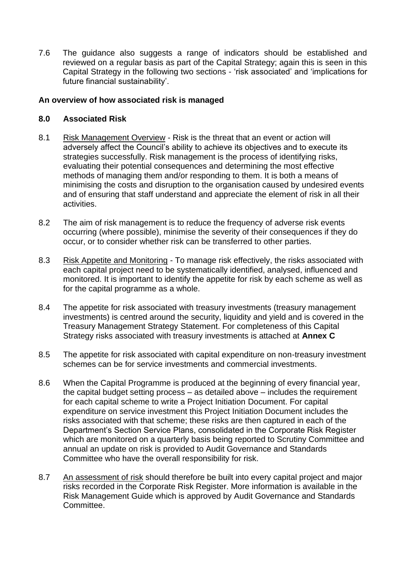7.6 The guidance also suggests a range of indicators should be established and reviewed on a regular basis as part of the Capital Strategy; again this is seen in this Capital Strategy in the following two sections - 'risk associated' and 'implications for future financial sustainability'.

#### **An overview of how associated risk is managed**

## **8.0 Associated Risk**

- 8.1 Risk Management Overview Risk is the threat that an event or action will adversely affect the Council's ability to achieve its objectives and to execute its strategies successfully. Risk management is the process of identifying risks, evaluating their potential consequences and determining the most effective methods of managing them and/or responding to them. It is both a means of minimising the costs and disruption to the organisation caused by undesired events and of ensuring that staff understand and appreciate the element of risk in all their activities.
- 8.2 The aim of risk management is to reduce the frequency of adverse risk events occurring (where possible), minimise the severity of their consequences if they do occur, or to consider whether risk can be transferred to other parties.
- 8.3 Risk Appetite and Monitoring To manage risk effectively, the risks associated with each capital project need to be systematically identified, analysed, influenced and monitored. It is important to identify the appetite for risk by each scheme as well as for the capital programme as a whole.
- 8.4 The appetite for risk associated with treasury investments (treasury management investments) is centred around the security, liquidity and yield and is covered in the Treasury Management Strategy Statement. For completeness of this Capital Strategy risks associated with treasury investments is attached at **Annex C**
- 8.5 The appetite for risk associated with capital expenditure on non-treasury investment schemes can be for service investments and commercial investments.
- 8.6 When the Capital Programme is produced at the beginning of every financial year, the capital budget setting process – as detailed above – includes the requirement for each capital scheme to write a Project Initiation Document. For capital expenditure on service investment this Project Initiation Document includes the risks associated with that scheme; these risks are then captured in each of the Department's Section Service Plans, consolidated in the Corporate Risk Register which are monitored on a quarterly basis being reported to Scrutiny Committee and annual an update on risk is provided to Audit Governance and Standards Committee who have the overall responsibility for risk.
- 8.7 An assessment of risk should therefore be built into every capital project and major risks recorded in the Corporate Risk Register. More information is available in the Risk Management Guide which is approved by Audit Governance and Standards Committee.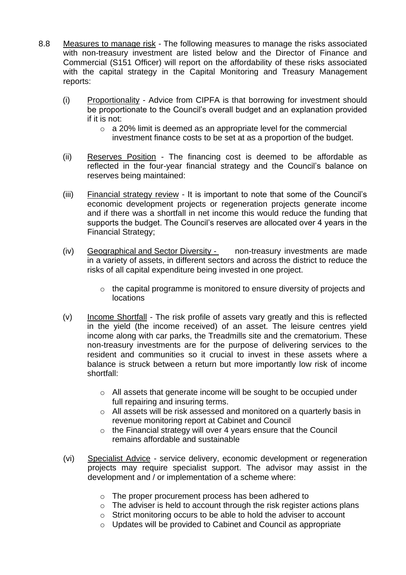- 8.8 Measures to manage risk The following measures to manage the risks associated with non-treasury investment are listed below and the Director of Finance and Commercial (S151 Officer) will report on the affordability of these risks associated with the capital strategy in the Capital Monitoring and Treasury Management reports:
	- (i) Proportionality Advice from CIPFA is that borrowing for investment should be proportionate to the Council's overall budget and an explanation provided if it is not:
		- o a 20% limit is deemed as an appropriate level for the commercial
			- investment finance costs to be set at as a proportion of the budget.
	- (ii) Reserves Position The financing cost is deemed to be affordable as reflected in the four-year financial strategy and the Council's balance on reserves being maintained:
	- (iii) Financial strategy review It is important to note that some of the Council's economic development projects or regeneration projects generate income and if there was a shortfall in net income this would reduce the funding that supports the budget. The Council's reserves are allocated over 4 years in the Financial Strategy;
	- (iv) Geographical and Sector Diversity non-treasury investments are made in a variety of assets, in different sectors and across the district to reduce the risks of all capital expenditure being invested in one project.
		- o the capital programme is monitored to ensure diversity of projects and locations
	- (v) Income Shortfall The risk profile of assets vary greatly and this is reflected in the yield (the income received) of an asset. The leisure centres yield income along with car parks, the Treadmills site and the crematorium. These non-treasury investments are for the purpose of delivering services to the resident and communities so it crucial to invest in these assets where a balance is struck between a return but more importantly low risk of income shortfall:
		- o All assets that generate income will be sought to be occupied under full repairing and insuring terms.
		- o All assets will be risk assessed and monitored on a quarterly basis in revenue monitoring report at Cabinet and Council
		- o the Financial strategy will over 4 years ensure that the Council remains affordable and sustainable
	- (vi) Specialist Advice service delivery, economic development or regeneration projects may require specialist support. The advisor may assist in the development and / or implementation of a scheme where:
		- o The proper procurement process has been adhered to
		- $\circ$  The adviser is held to account through the risk register actions plans
		- o Strict monitoring occurs to be able to hold the adviser to account
		- o Updates will be provided to Cabinet and Council as appropriate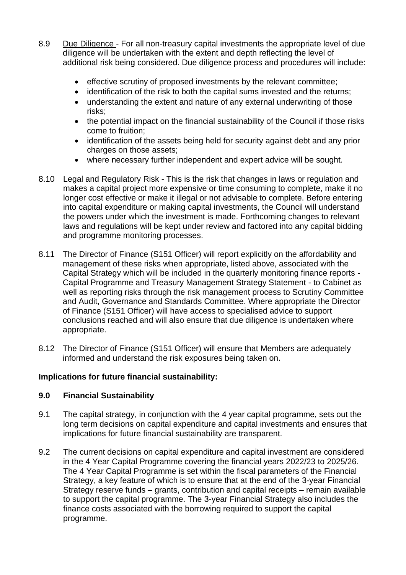- 8.9 Due Diligence For all non-treasury capital investments the appropriate level of due diligence will be undertaken with the extent and depth reflecting the level of additional risk being considered. Due diligence process and procedures will include:
	- effective scrutiny of proposed investments by the relevant committee;
	- identification of the risk to both the capital sums invested and the returns;
	- understanding the extent and nature of any external underwriting of those risks;
	- the potential impact on the financial sustainability of the Council if those risks come to fruition;
	- identification of the assets being held for security against debt and any prior charges on those assets;
	- where necessary further independent and expert advice will be sought.
- 8.10 Legal and Regulatory Risk This is the risk that changes in laws or regulation and makes a capital project more expensive or time consuming to complete, make it no longer cost effective or make it illegal or not advisable to complete. Before entering into capital expenditure or making capital investments, the Council will understand the powers under which the investment is made. Forthcoming changes to relevant laws and regulations will be kept under review and factored into any capital bidding and programme monitoring processes.
- 8.11 The Director of Finance (S151 Officer) will report explicitly on the affordability and management of these risks when appropriate, listed above, associated with the Capital Strategy which will be included in the quarterly monitoring finance reports - Capital Programme and Treasury Management Strategy Statement - to Cabinet as well as reporting risks through the risk management process to Scrutiny Committee and Audit, Governance and Standards Committee. Where appropriate the Director of Finance (S151 Officer) will have access to specialised advice to support conclusions reached and will also ensure that due diligence is undertaken where appropriate.
- 8.12 The Director of Finance (S151 Officer) will ensure that Members are adequately informed and understand the risk exposures being taken on.

# **Implications for future financial sustainability:**

#### **9.0 Financial Sustainability**

- 9.1 The capital strategy, in conjunction with the 4 year capital programme, sets out the long term decisions on capital expenditure and capital investments and ensures that implications for future financial sustainability are transparent.
- 9.2 The current decisions on capital expenditure and capital investment are considered in the 4 Year Capital Programme covering the financial years 2022/23 to 2025/26. The 4 Year Capital Programme is set within the fiscal parameters of the Financial Strategy, a key feature of which is to ensure that at the end of the 3-year Financial Strategy reserve funds – grants, contribution and capital receipts – remain available to support the capital programme. The 3-year Financial Strategy also includes the finance costs associated with the borrowing required to support the capital programme.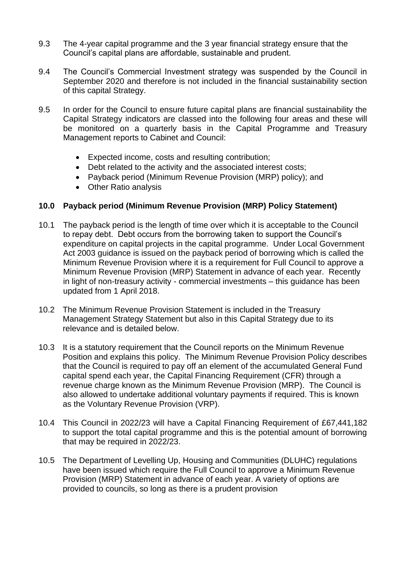- 9.3 The 4-year capital programme and the 3 year financial strategy ensure that the Council's capital plans are affordable, sustainable and prudent.
- 9.4 The Council's Commercial Investment strategy was suspended by the Council in September 2020 and therefore is not included in the financial sustainability section of this capital Strategy.
- 9.5 In order for the Council to ensure future capital plans are financial sustainability the Capital Strategy indicators are classed into the following four areas and these will be monitored on a quarterly basis in the Capital Programme and Treasury Management reports to Cabinet and Council:
	- Expected income, costs and resulting contribution;
	- Debt related to the activity and the associated interest costs;
	- Payback period (Minimum Revenue Provision (MRP) policy); and
	- Other Ratio analysis

## **10.0 Payback period (Minimum Revenue Provision (MRP) Policy Statement)**

- 10.1 The payback period is the length of time over which it is acceptable to the Council to repay debt. Debt occurs from the borrowing taken to support the Council's expenditure on capital projects in the capital programme. Under Local Government Act 2003 guidance is issued on the payback period of borrowing which is called the Minimum Revenue Provision where it is a requirement for Full Council to approve a Minimum Revenue Provision (MRP) Statement in advance of each year. Recently in light of non-treasury activity - commercial investments – this guidance has been updated from 1 April 2018.
- 10.2 The Minimum Revenue Provision Statement is included in the Treasury Management Strategy Statement but also in this Capital Strategy due to its relevance and is detailed below.
- 10.3 It is a statutory requirement that the Council reports on the Minimum Revenue Position and explains this policy. The Minimum Revenue Provision Policy describes that the Council is required to pay off an element of the accumulated General Fund capital spend each year, the Capital Financing Requirement (CFR) through a revenue charge known as the Minimum Revenue Provision (MRP). The Council is also allowed to undertake additional voluntary payments if required. This is known as the Voluntary Revenue Provision (VRP).
- 10.4 This Council in 2022/23 will have a Capital Financing Requirement of £67,441,182 to support the total capital programme and this is the potential amount of borrowing that may be required in 2022/23.
- 10.5 The Department of Levelling Up, Housing and Communities (DLUHC) regulations have been issued which require the Full Council to approve a Minimum Revenue Provision (MRP) Statement in advance of each year. A variety of options are provided to councils, so long as there is a prudent provision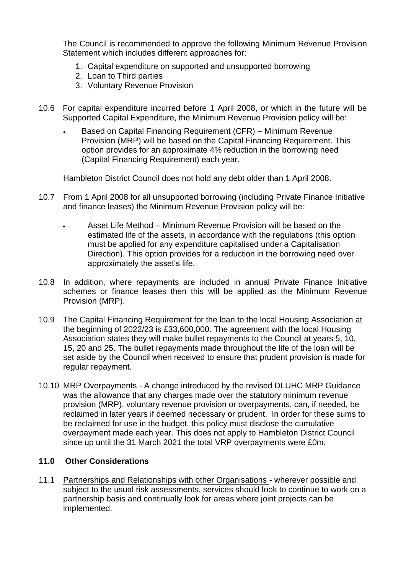The Council is recommended to approve the following Minimum Revenue Provision Statement which includes different approaches for:

- 1. Capital expenditure on supported and unsupported borrowing
- 2. Loan to Third parties
- 3. Voluntary Revenue Provision
- 10.6 For capital expenditure incurred before 1 April 2008, or which in the future will be Supported Capital Expenditure, the Minimum Revenue Provision policy will be:
	- Based on Capital Financing Requirement (CFR) Minimum Revenue Provision (MRP) will be based on the Capital Financing Requirement. This option provides for an approximate 4% reduction in the borrowing need (Capital Financing Requirement) each year.

Hambleton District Council does not hold any debt older than 1 April 2008.

- 10.7 From 1 April 2008 for all unsupported borrowing (including Private Finance Initiative and finance leases) the Minimum Revenue Provision policy will be*:*
	- Asset Life Method Minimum Revenue Provision will be based on the estimated life of the assets, in accordance with the regulations (this option must be applied for any expenditure capitalised under a Capitalisation Direction). This option provides for a reduction in the borrowing need over approximately the asset's life.
- 10.8 In addition, where repayments are included in annual Private Finance Initiative schemes or finance leases then this will be applied as the Minimum Revenue Provision (MRP).
- 10.9 The Capital Financing Requirement for the loan to the local Housing Association at the beginning of 2022/23 is £33,600,000. The agreement with the local Housing Association states they will make bullet repayments to the Council at years 5, 10, 15, 20 and 25. The bullet repayments made throughout the life of the loan will be set aside by the Council when received to ensure that prudent provision is made for regular repayment.
- 10.10 MRP Overpayments A change introduced by the revised DLUHC MRP Guidance was the allowance that any charges made over the statutory minimum revenue provision (MRP), voluntary revenue provision or overpayments, can, if needed, be reclaimed in later years if deemed necessary or prudent. In order for these sums to be reclaimed for use in the budget, this policy must disclose the cumulative overpayment made each year. This does not apply to Hambleton District Council since up until the 31 March 2021 the total VRP overpayments were £0m.

# **11.0 Other Considerations**

11.1 Partnerships and Relationships with other Organisations - wherever possible and subject to the usual risk assessments, services should look to continue to work on a partnership basis and continually look for areas where joint projects can be implemented.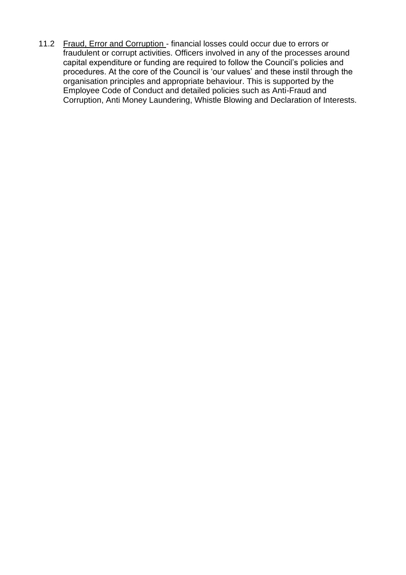11.2 Fraud, Error and Corruption - financial losses could occur due to errors or fraudulent or corrupt activities. Officers involved in any of the processes around capital expenditure or funding are required to follow the Council's policies and procedures. At the core of the Council is 'our values' and these instil through the organisation principles and appropriate behaviour. This is supported by the Employee Code of Conduct and detailed policies such as Anti-Fraud and Corruption, Anti Money Laundering, Whistle Blowing and Declaration of Interests.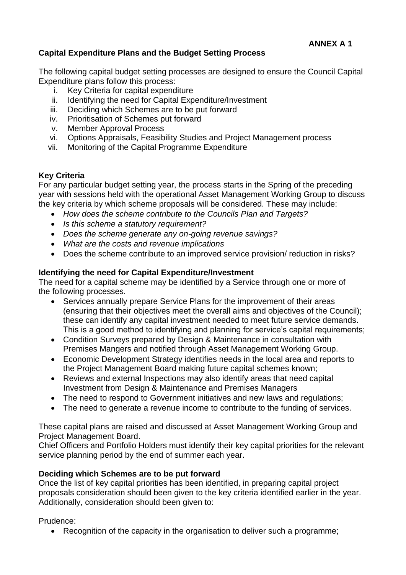# **Capital Expenditure Plans and the Budget Setting Process**

The following capital budget setting processes are designed to ensure the Council Capital Expenditure plans follow this process:

- i. Key Criteria for capital expenditure
- ii. Identifying the need for Capital Expenditure/Investment
- iii. Deciding which Schemes are to be put forward
- iv. Prioritisation of Schemes put forward
- v. Member Approval Process
- vi. Options Appraisals, Feasibility Studies and Project Management process
- vii. Monitoring of the Capital Programme Expenditure

# **Key Criteria**

For any particular budget setting year, the process starts in the Spring of the preceding year with sessions held with the operational Asset Management Working Group to discuss the key criteria by which scheme proposals will be considered. These may include:

- *How does the scheme contribute to the Councils Plan and Targets?*
- *Is this scheme a statutory requirement?*
- *Does the scheme generate any on-going revenue savings?*
- *What are the costs and revenue implications*
- Does the scheme contribute to an improved service provision/ reduction in risks?

## **Identifying the need for Capital Expenditure/Investment**

The need for a capital scheme may be identified by a Service through one or more of the following processes.

- Services annually prepare Service Plans for the improvement of their areas (ensuring that their objectives meet the overall aims and objectives of the Council); these can identify any capital investment needed to meet future service demands. This is a good method to identifying and planning for service's capital requirements;
- Condition Surveys prepared by Design & Maintenance in consultation with Premises Mangers and notified through Asset Management Working Group.
- Economic Development Strategy identifies needs in the local area and reports to the Project Management Board making future capital schemes known;
- Reviews and external Inspections may also identify areas that need capital Investment from Design & Maintenance and Premises Managers
- The need to respond to Government initiatives and new laws and regulations;
- The need to generate a revenue income to contribute to the funding of services.

These capital plans are raised and discussed at Asset Management Working Group and Project Management Board.

Chief Officers and Portfolio Holders must identify their key capital priorities for the relevant service planning period by the end of summer each year.

# **Deciding which Schemes are to be put forward**

Once the list of key capital priorities has been identified, in preparing capital project proposals consideration should been given to the key criteria identified earlier in the year. Additionally, consideration should been given to:

#### Prudence:

• Recognition of the capacity in the organisation to deliver such a programme;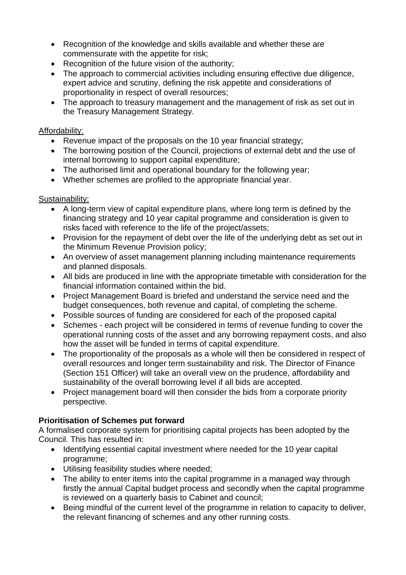- Recognition of the knowledge and skills available and whether these are commensurate with the appetite for risk;
- Recognition of the future vision of the authority;
- The approach to commercial activities including ensuring effective due diligence, expert advice and scrutiny, defining the risk appetite and considerations of proportionality in respect of overall resources;
- The approach to treasury management and the management of risk as set out in the Treasury Management Strategy.

## Affordability:

- Revenue impact of the proposals on the 10 year financial strategy;
- The borrowing position of the Council, projections of external debt and the use of internal borrowing to support capital expenditure;
- The authorised limit and operational boundary for the following year;
- Whether schemes are profiled to the appropriate financial year.

# Sustainability:

- A long-term view of capital expenditure plans, where long term is defined by the financing strategy and 10 year capital programme and consideration is given to risks faced with reference to the life of the project/assets;
- Provision for the repayment of debt over the life of the underlying debt as set out in the Minimum Revenue Provision policy;
- An overview of asset management planning including maintenance requirements and planned disposals.
- All bids are produced in line with the appropriate timetable with consideration for the financial information contained within the bid.
- Project Management Board is briefed and understand the service need and the budget consequences, both revenue and capital, of completing the scheme.
- Possible sources of funding are considered for each of the proposed capital
- Schemes each project will be considered in terms of revenue funding to cover the operational running costs of the asset and any borrowing repayment costs, and also how the asset will be funded in terms of capital expenditure.
- The proportionality of the proposals as a whole will then be considered in respect of overall resources and longer term sustainability and risk. The Director of Finance (Section 151 Officer) will take an overall view on the prudence, affordability and sustainability of the overall borrowing level if all bids are accepted.
- Project management board will then consider the bids from a corporate priority perspective.

# **Prioritisation of Schemes put forward**

A formalised corporate system for prioritising capital projects has been adopted by the Council. This has resulted in:

- Identifying essential capital investment where needed for the 10 year capital programme;
- Utilising feasibility studies where needed;
- The ability to enter items into the capital programme in a managed way through firstly the annual Capital budget process and secondly when the capital programme is reviewed on a quarterly basis to Cabinet and council;
- Being mindful of the current level of the programme in relation to capacity to deliver, the relevant financing of schemes and any other running costs.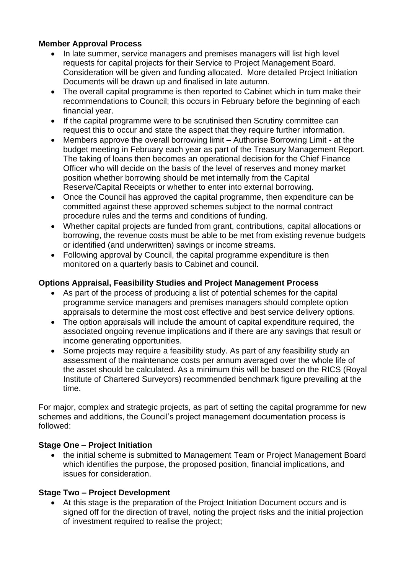# **Member Approval Process**

- In late summer, service managers and premises managers will list high level requests for capital projects for their Service to Project Management Board. Consideration will be given and funding allocated. More detailed Project Initiation Documents will be drawn up and finalised in late autumn.
- The overall capital programme is then reported to Cabinet which in turn make their recommendations to Council; this occurs in February before the beginning of each financial year.
- If the capital programme were to be scrutinised then Scrutiny committee can request this to occur and state the aspect that they require further information.
- Members approve the overall borrowing limit Authorise Borrowing Limit at the budget meeting in February each year as part of the Treasury Management Report. The taking of loans then becomes an operational decision for the Chief Finance Officer who will decide on the basis of the level of reserves and money market position whether borrowing should be met internally from the Capital Reserve/Capital Receipts or whether to enter into external borrowing.
- Once the Council has approved the capital programme, then expenditure can be committed against these approved schemes subject to the normal contract procedure rules and the terms and conditions of funding.
- Whether capital projects are funded from grant, contributions, capital allocations or borrowing, the revenue costs must be able to be met from existing revenue budgets or identified (and underwritten) savings or income streams.
- Following approval by Council, the capital programme expenditure is then monitored on a quarterly basis to Cabinet and council.

# **Options Appraisal, Feasibility Studies and Project Management Process**

- As part of the process of producing a list of potential schemes for the capital programme service managers and premises managers should complete option appraisals to determine the most cost effective and best service delivery options.
- The option appraisals will include the amount of capital expenditure required, the associated ongoing revenue implications and if there are any savings that result or income generating opportunities.
- Some projects may require a feasibility study. As part of any feasibility study an assessment of the maintenance costs per annum averaged over the whole life of the asset should be calculated. As a minimum this will be based on the RICS (Royal Institute of Chartered Surveyors) recommended benchmark figure prevailing at the time.

For major, complex and strategic projects, as part of setting the capital programme for new schemes and additions, the Council's project management documentation process is followed:

# **Stage One – Project Initiation**

• the initial scheme is submitted to Management Team or Project Management Board which identifies the purpose, the proposed position, financial implications, and issues for consideration.

# **Stage Two – Project Development**

• At this stage is the preparation of the Project Initiation Document occurs and is signed off for the direction of travel, noting the project risks and the initial projection of investment required to realise the project;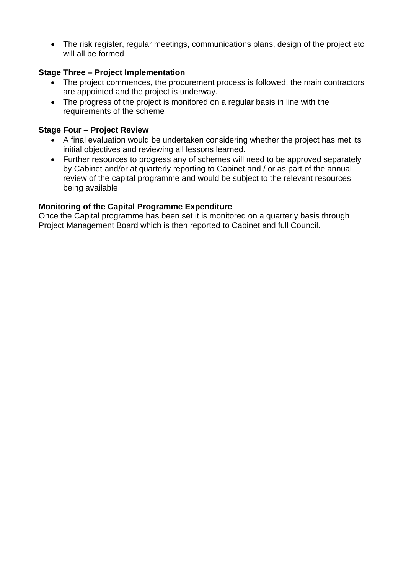• The risk register, regular meetings, communications plans, design of the project etc will all be formed

# **Stage Three – Project Implementation**

- The project commences, the procurement process is followed, the main contractors are appointed and the project is underway.
- The progress of the project is monitored on a regular basis in line with the requirements of the scheme

## **Stage Four – Project Review**

- A final evaluation would be undertaken considering whether the project has met its initial objectives and reviewing all lessons learned.
- Further resources to progress any of schemes will need to be approved separately by Cabinet and/or at quarterly reporting to Cabinet and / or as part of the annual review of the capital programme and would be subject to the relevant resources being available

# **Monitoring of the Capital Programme Expenditure**

Once the Capital programme has been set it is monitored on a quarterly basis through Project Management Board which is then reported to Cabinet and full Council.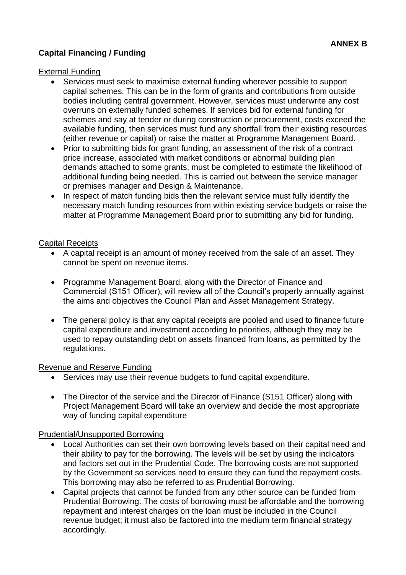# **Capital Financing / Funding**

## External Funding

- Services must seek to maximise external funding wherever possible to support capital schemes. This can be in the form of grants and contributions from outside bodies including central government. However, services must underwrite any cost overruns on externally funded schemes. If services bid for external funding for schemes and say at tender or during construction or procurement, costs exceed the available funding, then services must fund any shortfall from their existing resources (either revenue or capital) or raise the matter at Programme Management Board.
- Prior to submitting bids for grant funding, an assessment of the risk of a contract price increase, associated with market conditions or abnormal building plan demands attached to some grants, must be completed to estimate the likelihood of additional funding being needed. This is carried out between the service manager or premises manager and Design & Maintenance.
- In respect of match funding bids then the relevant service must fully identify the necessary match funding resources from within existing service budgets or raise the matter at Programme Management Board prior to submitting any bid for funding.

#### Capital Receipts

- A capital receipt is an amount of money received from the sale of an asset. They cannot be spent on revenue items.
- Programme Management Board, along with the Director of Finance and Commercial (S151 Officer), will review all of the Council's property annually against the aims and objectives the Council Plan and Asset Management Strategy.
- The general policy is that any capital receipts are pooled and used to finance future capital expenditure and investment according to priorities, although they may be used to repay outstanding debt on assets financed from loans, as permitted by the regulations.

#### Revenue and Reserve Funding

- Services may use their revenue budgets to fund capital expenditure.
- The Director of the service and the Director of Finance (S151 Officer) along with Project Management Board will take an overview and decide the most appropriate way of funding capital expenditure

# Prudential/Unsupported Borrowing

- Local Authorities can set their own borrowing levels based on their capital need and their ability to pay for the borrowing. The levels will be set by using the indicators and factors set out in the Prudential Code. The borrowing costs are not supported by the Government so services need to ensure they can fund the repayment costs. This borrowing may also be referred to as Prudential Borrowing.
- Capital projects that cannot be funded from any other source can be funded from Prudential Borrowing. The costs of borrowing must be affordable and the borrowing repayment and interest charges on the loan must be included in the Council revenue budget; it must also be factored into the medium term financial strategy accordingly.